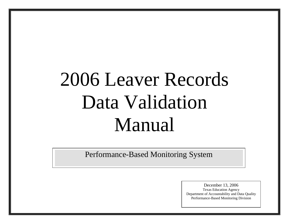# 2006 Leaver Records Data Validation Manual

Performance-Based Monitoring System

December 13, 2006 Texas Education Agency Department of Accountability and Data Quality Performance-Based Monitoring Division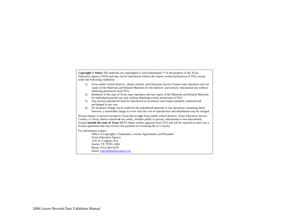**Copyright © Notice** The materials are copyrighted © and trademarked ™ as the property of the Texas Education Agency (TEA) and may not be reproduced without the express written permission of TEA, except under the following conditions:

- 1) Texas public school districts, charter schools, and Education Service Centers may reproduce and use copies of the Materials and Related Materials for the districts' and schools' educational use without obtaining permission from TEA.
- 2) Residents of the state of Texas may reproduce and use copies of the Materials and Related Materials for individual personal use only without obtaining written permission of TEA.
- 3) Any portion reproduced must be reproduced in its entirety and remain unedited, unaltered and unchanged in any way.
- 4) No monetary charge can be made for the reproduced materials or any document containing them; however, a reasonable charge to cover only the cost of reproduction and distribution may be charged.

Private entities or persons located in Texas that are **not** Texas public school districts, Texas Education Service Centers, or Texas charter schools **or** any entity, whether public or private, educational or non-educational, located **outside the state of Texas** *MUST* obtain written approval from TEA and will be required to enter into a license agreement that may involve the payment of a licensing fee or a royalty.

For information contact:

 Office of Copyrights, Trademarks, License Agreements, and Royalties Texas Education Agency 1701 N. Congress Ave. Austin, TX 78701-1494 Phone: (512) 463-9270 Email: [copyrights@tea.state.tx.us](mailto:copyrights@tea.state.tx.us)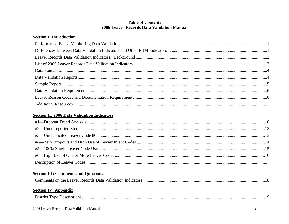## **Table of Contents** 2006 Leaver Records Data Validation Manual

## **Section I: Introduction**

## **Section II: 2006 Data Validation Indicators**

## **Section III: Comments and Questions**

## **Section IV: Appendix**

| District Type Descriptions. |  |
|-----------------------------|--|
|-----------------------------|--|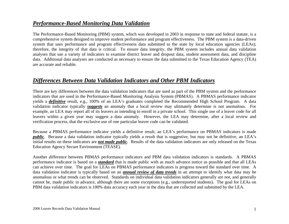# *Performance-Based Monitoring Data Validation*

The Performance-Based Monitoring (PBM) system, which was developed in 2003 in response to state and federal statute, is a comprehensive system designed to improve student performance and program effectiveness. The PBM system is a data-driven system that uses performance and program effectiveness data submitted to the state by local education agencies (LEAs); therefore, the integrity of that data is critical. To ensure data integrity, the PBM system includes annual data validation analyses that use a variety of indicators to examine district leaver and dropout data, student assessment data, and discipline data. Additional data analyses are conducted as necessary to ensure the data submitted to the Texas Education Agency (TEA) are accurate and reliable.

# *Differences Between Data Validation Indicators and Other PBM Indicators*

There are key differences between the data validation indicators that are used as part of the PBM system and the performance indicators that are used in the Performance-Based Monitoring Analysis System (PBMAS). A PBMAS performance indicator yields a *definitive* result, e.g., 100% of an LEA's graduates completed the Recommended High School Program. A data validation indicator typically *suggests* an anomaly that a local review may ultimately determine is not anomalous. For example, an LEA may report all of its leavers as intending to enroll in a private school. This single use of a leaver code for all leavers within a given year may suggest a data anomaly. However, the LEA may determine, after a local review and verification process, that the exclusive use of one particular leaver code can be validated.

Because a PBMAS performance indicator yields a definitive result, an LEA's performance on PBMAS indicators is made *public*. Because a data validation indicator typically yields a result that is suggestive, but may not be definitive, an LEA's initial results on these indicators are *not made public*. Results of the data validation indicators are only released on the Texas Education Agency Secure Environment (TEASE).

Another difference between PBMAS performance indicators and PBM data validation indicators is standards. A PBMAS performance indicator is based on a *standard* that is made public with as much advance notice as possible and that all LEAs can achieve over time. The goal for LEAs on PBMAS performance indicators is progress toward the standard over time. A data validation indicator is typically based on an *annual review of data trends* in an attempt to identify what data may be anomalous or what trends can be observed. Standards on individual data validation indicators generally are not, and generally cannot be, made public in advance, although there are some exceptions (e.g., underreported students). The goal for LEAs on PBM data validation indicators is 100% data accuracy each year in the data that are collected and submitted by the LEA.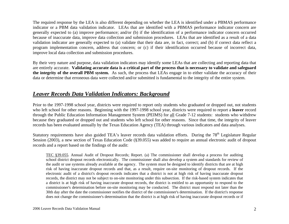The required response by the LEA is also different depending on whether the LEA is identified under a PBMAS performance indicator or a PBM data validation indicator. LEAs that are identified with a PBMAS performance indicator concern are generally expected to (a) improve performance; and/or (b) if the identification of a performance indicator concern occurred because of inaccurate data, improve data collection and submission procedures. LEAs that are identified as a result of a data validation indicator are generally expected to (a) validate that their data are, in fact, correct; and (b) if correct data reflect a program implementation concern, address that concern; or (c) if their identification occurred because of incorrect data, improve local data collection and submission procedures.

By their very nature and purpose, data validation indicators may identify some LEAs that are collecting and reporting data that are entirely accurate. **Validating accurate data is a critical part of the process that is necessary to validate and safeguard the integrity of the overall PBM system.** As such, the process that LEAs engage in to either validate the accuracy of their data or determine that erroneous data were collected and/or submitted is fundamental to the integrity of the entire system.

# *Leaver Records Data Validation Indicators: Background*

Prior to the 1997-1998 school year, districts were required to report only students who graduated or dropped out, not students who left school for other reasons. Beginning with the 1997-1998 school year, districts were required to report a **leaver** record through the Public Education Information Management System (PEIMS) for all Grade 7-12 students: students who withdrew because they graduated or dropped out and students who left school for other reasons. Since that time, the integrity of leaver records has been evaluated annually by the Texas Education Agency (TEA) through various indicators and data analyses.

Statutory requirements have also guided TEA's leaver records data validation efforts. During the  $78<sup>th</sup>$  Legislature Regular Session (2003), a new section of Texas Education Code (§39.055) was added to require an annual electronic audit of dropout records and a report based on the findings of the audit:

TEC §39.055. Annual Audit of Dropout Records; Report. (a) The commissioner shall develop a process for auditing school district dropout records electronically. The commissioner shall also develop a system and standards for review of the audit or use systems already available at the agency. The system must be designed to identify districts that are at high risk of having inaccurate dropout records and that, as a result, require on-site monitoring of dropout records. If the electronic audit of a district's dropout records indicates that a district is not at high risk of having inaccurate dropout records, the district may not be subject to on-site monitoring under this subsection. If the risk-based system indicates that a district is at high risk of having inaccurate dropout records, the district is entitled to an opportunity to respond to the commissioner's determination before on-site monitoring may be conducted. The district must respond not later than the 30th day after the date the commissioner notifies the district of the commissioner's determination. If the district's response does not change the commissioner's determination that the district is at high risk of having inaccurate dropout records or if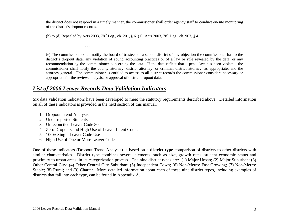the district does not respond in a timely manner, the commissioner shall order agency staff to conduct on-site monitoring of the district's dropout records.

(b) to (d) Repealed by Acts 2003,  $78^{th}$  Leg., ch. 201, § 61(1); Acts 2003,  $78^{th}$  Leg., ch. 903, § 4.

(e) The commissioner shall notify the board of trustees of a school district of any objection the commissioner has to the district's dropout data, any violation of sound accounting practices or of a law or rule revealed by the data, or any recommendation by the commissioner concerning the data. If the data reflect that a penal law has been violated, the commissioner shall notify the county attorney, district attorney, or criminal district attorney, as appropriate, and the attorney general. The commissioner is entitled to access to all district records the commissioner considers necessary or appropriate for the review, analysis, or approval of district dropout data.

# *List of 2006 Leaver Records Data Validation Indicators*

Six data validation indicators have been developed to meet the statutory requirements described above. Detailed information on all of these indicators is provided in the next section of this manual.

- 1. Dropout Trend Analysis
- 2. Underreported Students
- 3. Unreconciled Leaver Code 80
- 4. Zero Dropouts and High Use of Leaver Intent Codes

**. . .** 

- 5. 100% Single Leaver Code Use
- 6. High Use of One or More Leaver Codes

One of these indicators (Dropout Trend Analysis) is based on a **district type** comparison of districts to other districts with similar characteristics. District type combines several elements, such as size, growth rates, student economic status and proximity to urban areas, in its categorization process. The nine district types are: (1) Major Urban; (2) Major Suburban; (3) Other Central City; (4) Other Central City Suburban; (5) Independent Town; (6) Non-Metro: Fast Growing; (7) Non-Metro: Stable; (8) Rural; and (9) Charter. More detailed information about each of these nine district types, including examples of districts that fall into each type, can be found in Appendix A.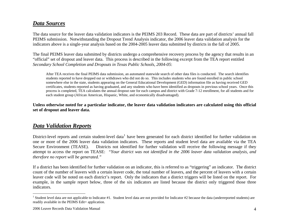# *Data Sources*

The data source for the leaver data validation indicators is the PEIMS 203 Record. These data are part of districts' annual fall PEIMS submission. Notwithstanding the Dropout Trend Analysis indicator, the 2006 leaver data validation analysis for the indicators above is a single-year analysis based on the 2004-2005 leaver data submitted by districts in the fall of 2005.

The final PEIMS leaver data submitted by districts undergo a comprehensive recovery process by the agency that results in an "official" set of dropout and leaver data. This process is described in the following excerpt from the TEA report entitled *Secondary School Completion and Dropouts in Texas Public Schools, 2004-05*:

After TEA receives the final PEIMS data submission, an automated statewide search of other data files is conducted. The search identifies students reported to have dropped out or withdrawn who did not do so. This includes students who are found enrolled in public school somewhere else in the state, students appearing on the General Educational Development (GED) information file as having received GED certificates, students reported as having graduated, and any students who have been identified as dropouts in previous school years. Once this process is completed, TEA calculates the annual dropout rate for each campus and district with Grade 7-12 enrollment, for all students and for each student group (African American, Hispanic, White, and economically disadvantaged).

**Unless otherwise noted for a particular indicator, the leaver data validation indicators are calculated using this official set of dropout and leaver data.**

# *Data Validation Reports*

District-level reports and certain student-level data<sup>[1](#page-6-0)</sup> have been generated for each district identified for further validation on one or more of the 2006 leaver data validation indicators. These reports and student level data are available via the TEA Secure Environment (TEASE). Districts not identified for further validation will receive the following message if they attempt to access the report on TEASE: *"Your district was not identified in the 2006 leaver data validation analysis, and therefore no report will be generated."*

If a district has been identified for further validation on an indicator, this is referred to as "triggering" an indicator. The district count of the number of leavers with a certain leaver code, the total number of leavers, and the percent of leavers with a certain leaver code will be noted on each district's report. Only the indicators that a district triggers will be listed on the report. For example, in the sample report below, three of the six indicators are listed because the district only triggered those three indicators.

<span id="page-6-0"></span><sup>&</sup>lt;sup>1</sup> Student level data are not applicable to Indicator #1. Student level data are not provided for Indicator #2 because the data (underreported students) are readily available in the PEIMS Edit+ application.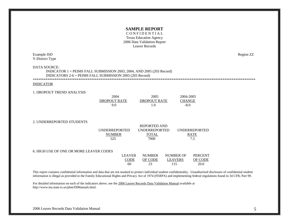#### **SAMPLE REPORT** C O N F I D E N T I A L Texas Education Agency 2006 Data Validation Report Leaver Records

#### Example ISD Region ZZ Y-District Type

#### DATA SOURCE:

INDICATOR 1 = PEIMS FALL SUBMISSION 2003, 2004, AND 2005 (203 Record) INDICATORS 2-6 = PEIMS FALL SUBMISSION 2005 (203 Record) \*\*\*\*\*\*\*\*\*\*\*\*\*\*\*\*\*\*\*\*\*\*\*\*\*\*\*\*\*\*\*\*\*\*\*\*\*\*\*\*\*\*\*\*\*\*\*\*\*\*\*\*\*\*\*\*\*\*\*\*\*\*\*\*\*\*\*\*\*\*\*\*\*\*\*\*\*\*\*\*\*\*\*\*\*\*\*\*\*\*\*\*\*\*\*\*\*\*\*\*\*\*\*\*\*\*\*\*\*\*\*\*\*\*\*\*\*\*\*\*\*\*

#### INDICATOR

#### 1. DROPOUT TREND ANALYSIS

| 2004                | 2005         | 2004-2005 |
|---------------------|--------------|-----------|
| <b>DROPOUT RATE</b> | DROPOUT RATE | CHANGE    |
| O<br>7.U            | L.U          | $-8.0$    |

#### 2. UNDERREPORTED STUDENTS

|                      | <b>REPORTED AND</b>  |                      |
|----------------------|----------------------|----------------------|
| <b>UNDERREPORTED</b> | <b>UNDERREPORTED</b> | <b>UNDERREPORTED</b> |
| <b>NUMBER</b>        | <b>TOTAL</b>         | <b>RATE</b>          |
| ັບພ                  | 7000                 | ت -                  |

#### 6. HIGH USE OF ONE OR MORE LEAVER CODES

| LEAVER | <b>NUMBER</b> | <b>NUMBER OF</b> | <b>PERCENT</b> |
|--------|---------------|------------------|----------------|
| CODE   | OF CODE       | <b>LEAVERS</b>   | OF CODE        |
| 60     | າເ<br>∸-      |                  | 20.0           |

This report contains confidential information and data that are not masked to protect individual student confidentiality. Unauthorized disclosure of confidential student information is illegal as provided in the Family Educational Rights and Privacy Act of 1974 (FERPA) and implementing federal regulations found in 34 CFR, Part 99.

For detailed information on each of the indicators above, see the 2006 Leaver Records Data Validation Manual available at http://www.tea.state.tx.us/pbm/DIManuals.html.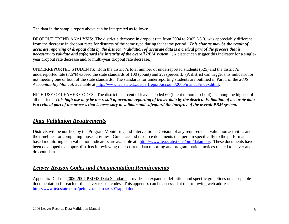The data in the sample report above can be interpreted as follows:

DROPOUT TREND ANALYSIS: The district's decrease in dropout rate from 2004 to 2005 (-8.0) was appreciably different from the decrease in dropout rates for districts of the same type during that same period. *This change may be the result of accurate reporting of dropout data by the district. Validation of accurate data is a critical part of the process that is necessary to validate and safeguard the integrity of the overall PBM system.* (A district can trigger this indicator for a singleyear dropout rate decrease and/or multi-year dropout rate decrease.)

UNDERREPORTED STUDENTS: Both the district's total number of underreported students (525) and the district's underreported rate (7.5%) exceed the state standards of 100 (count) and 2% (percent). (A district can trigger this indicator for not meeting one or both of the state standards. The standards for underreporting students are outlined in Part 1 of the *2006 Accountability Manual*, available at<http://www.tea.state.tx.us/perfreport/account/2006/manual/index.html>.)

HIGH USE OF LEAVER CODES: The district's percent of leavers coded 60 (intent to home school) is among the highest of all districts. *This high use may be the result of accurate reporting of leaver data by the district. Validation of accurate data is a critical part of the process that is necessary to validate and safeguard the integrity of the overall PBM system.*

# *Data Validation Requirements*

Districts will be notified by the Program Monitoring and Interventions Division of any required data validation activities and the timelines for completing those activities. Guidance and resource documents that pertain specifically to the performancebased monitoring data validation indicators are available at: <http://www.tea.state.tx.us/pmi/datamon/>. These documents have been developed to support districts in reviewing their current data reporting and programmatic practices related to leaver and dropout data.

# *Leaver Reason Codes and Documentation Requirements*

Appendix D of the 2006-2007 PEIMS Data Standards provides an expanded definition and specific guidelines on acceptable documentation for each of the leaver reason codes. This appendix can be accessed at the following web address: <http://www.tea.state.tx.us/peims/standards/0607/appd.doc>.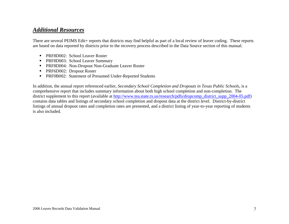# *Additional Resources*

There are several PEIMS Edit+ reports that districts may find helpful as part of a local review of leaver coding. These reports are based on data reported by districts prior to the recovery process described in the Data Source section of this manual.

- PRF8D002: School Leaver Roster
- **PRF8D003: School Leaver Summary**
- PRF8D004: Non-Dropout Non-Graduate Leaver Roster
- PRF6D002: Dropout Roster
- **PRF0B002: Statement of Presumed Under-Reported Students**

In addition, the annual report referenced earlier, *Secondary School Completion and Dropouts in Texas Public Schools,* is a comprehensive report that includes summary information about both high school completion and non-completion. The district supplement to this report (available at [http://www.tea.state.tx.us/research/pdfs/dropcomp\\_district\\_supp\\_2004-05.pdf](http://www.tea.state.tx.us/research/pdfs/dropcomp_district_supp_2004-05.pdf)) contains data tables and listings of secondary school completion and dropout data at the district level. District-by-district listings of annual dropout rates and completion rates are presented, and a district listing of year-to-year reporting of students is also included.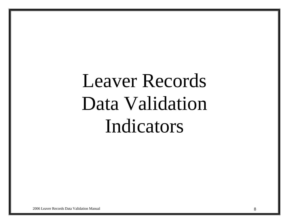# Leaver Records Data Validation Indicators

2006 Leaver Records Data Validation Manual 8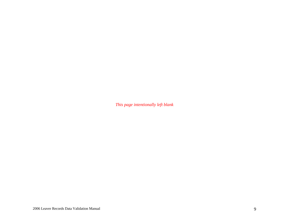*This page intentionally left blank*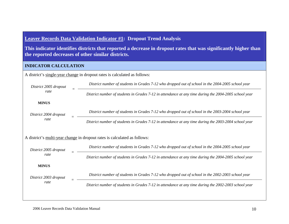# **Leaver Records Data Validation Indicator #1: Dropout Trend Analysis**

**This indicator identifies districts that reported a decrease in dropout rates that was significantly higher than the reported decreases of other similar districts.**

## **INDICATOR CALCULATION**

A district's single-year change in dropout rates is calculated as follows:

| District 2005 dropout | District number of students in Grades 7-12 who dropped out of school in the 2004-2005 school year     |
|-----------------------|-------------------------------------------------------------------------------------------------------|
| rate                  | District number of students in Grades 7-12 in attendance at any time during the 2004-2005 school year |
| <b>MINUS</b>          |                                                                                                       |
| District 2004 dropout | District number of students in Grades 7-12 who dropped out of school in the 2003-2004 school year     |
| rate                  | District number of students in Grades 7-12 in attendance at any time during the 2003-2004 school year |
|                       | A district's multi-year change in dropout rates is calculated as follows:                             |
| District 2005 dropout | District number of students in Grades 7-12 who dropped out of school in the 2004-2005 school year     |
| rate                  | District number of students in Grades 7-12 in attendance at any time during the 2004-2005 school year |
| <b>MINUS</b>          |                                                                                                       |
| District 2003 dropout | District number of students in Grades 7-12 who dropped out of school in the 2002-2003 school year     |
| rate                  | District number of students in Grades 7-12 in attendance at any time during the 2002-2003 school year |
|                       |                                                                                                       |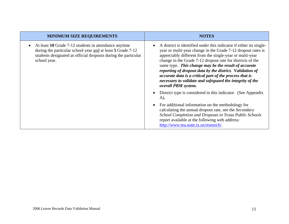| <b>MINIMUM SIZE REQUIREMENTS</b>                                                                                                                                                                                    | <b>NOTES</b>                                                                                                                                                                                                                                                                                                                                                                                                                                                                                                                    |
|---------------------------------------------------------------------------------------------------------------------------------------------------------------------------------------------------------------------|---------------------------------------------------------------------------------------------------------------------------------------------------------------------------------------------------------------------------------------------------------------------------------------------------------------------------------------------------------------------------------------------------------------------------------------------------------------------------------------------------------------------------------|
| At least 10 Grade 7-12 students in attendance anytime<br>$\bullet$<br>during the particular school year and at least 5 Grade 7-12<br>students designated as official dropouts during the particular<br>school year. | A district is identified under this indicator if either its single-<br>year or multi-year change in the Grade 7-12 dropout rates is<br>appreciably different from the single-year or multi-year<br>change in the Grade 7-12 dropout rate for districts of the<br>same type. This change may be the result of accurate<br>reporting of dropout data by the district. Validation of<br>accurate data is a critical part of the process that is<br>necessary to validate and safeguard the integrity of the<br>overall PBM system. |
|                                                                                                                                                                                                                     | District type is considered in this indicator. (See Appendix<br>A).                                                                                                                                                                                                                                                                                                                                                                                                                                                             |
|                                                                                                                                                                                                                     | For additional information on the methodology for<br>calculating the annual dropout rate, see the Secondary<br>School Completion and Dropouts in Texas Public Schools<br>report available at the following web address:<br>http://www.tea.state.tx.us/research/.                                                                                                                                                                                                                                                                |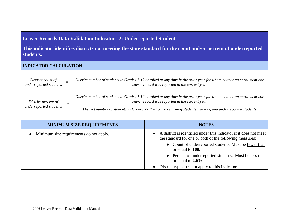# **Leaver Records Data Validation Indicator #2: Underreported Students**

**This indicator identifies districts not meeting the state standard for the count and/or percent of underreported students.**

## **INDICATOR CALCULATION**

| District count of<br>underreported students   | District number of students in Grades 7-12 enrolled at any time in the prior year for whom neither an enrollment nor<br>leaver record was reported in the current year                                                                                                               |                                                                                                                                                                                                                                                                                          |  |
|-----------------------------------------------|--------------------------------------------------------------------------------------------------------------------------------------------------------------------------------------------------------------------------------------------------------------------------------------|------------------------------------------------------------------------------------------------------------------------------------------------------------------------------------------------------------------------------------------------------------------------------------------|--|
| District percent of<br>underreported students | District number of students in Grades 7-12 enrolled at any time in the prior year for whom neither an enrollment nor<br>leaver record was reported in the current year<br>District number of students in Grades 7-12 who are returning students, leavers, and underreported students |                                                                                                                                                                                                                                                                                          |  |
|                                               | <b>MINIMUM SIZE REQUIREMENTS</b>                                                                                                                                                                                                                                                     | <b>NOTES</b>                                                                                                                                                                                                                                                                             |  |
|                                               | Minimum size requirements do not apply.                                                                                                                                                                                                                                              | A district is identified under this indicator if it does not meet<br>the standard for one or both of the following measures:<br>Count of underreported students: Must be fewer than<br>or equal to 100.<br>Percent of underreported students: Must be less than<br>or equal to $2.0\%$ . |  |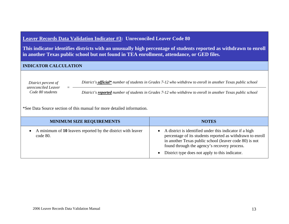# **Leaver Records Data Validation Indicator #3: Unreconciled Leaver Code 80**

**This indicator identifies districts with an unusually high percentage of students reported as withdrawn to enroll in another Texas public school but not found in TEA enrollment, attendance, or GED files.**

## **INDICATOR CALCULATION**

*District percent of District's official\* number of students in Grades 7-12 who withdrew to enroll in another Texas public school unreconciled Leaver Code 80 students* = *District's reported number of students in Grades 7-12 who withdrew to enroll in another Texas public school* 

\*See Data Source section of this manual for more detailed information.

| <b>MINIMUM SIZE REQUIREMENTS</b>                                         | <b>NOTES</b>                                                                                                                                                                                                                                                                                      |
|--------------------------------------------------------------------------|---------------------------------------------------------------------------------------------------------------------------------------------------------------------------------------------------------------------------------------------------------------------------------------------------|
| A minimum of 10 leavers reported by the district with leaver<br>code 80. | • A district is identified under this indicator if a high<br>percentage of its students reported as withdrawn to enroll<br>in another Texas public school (leaver code 80) is not<br>found through the agency's recovery process.<br>District type does not apply to this indicator.<br>$\bullet$ |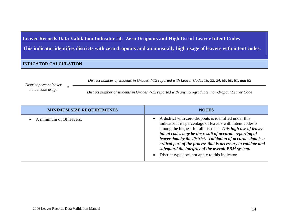**Leaver Records Data Validation Indicator #4: Zero Dropouts and High Use of Leaver Intent Codes** 

**This indicator identifies districts with zero dropouts and an unusually high usage of leavers with intent codes.**

#### **INDICATOR CALCULATION**

*District number of students in Grades 7-12 reported with Leaver Codes 16, 22, 24, 60, 80, 81, and 82* 

*District percent leaver* 

*intent code usage* <sup>=</sup>*District number of students in Grades 7-12 reported with any non-graduate, non-dropout Leaver Code* 

| <b>MINIMUM SIZE REQUIREMENTS</b> | <b>NOTES</b>                                                                                                                                                                                                                                                                                                                                                                                                                                                                                   |
|----------------------------------|------------------------------------------------------------------------------------------------------------------------------------------------------------------------------------------------------------------------------------------------------------------------------------------------------------------------------------------------------------------------------------------------------------------------------------------------------------------------------------------------|
| • A minimum of $10$ leavers.     | • A district with zero dropouts is identified under this<br>indicator if its percentage of leavers with intent codes is<br>among the highest for all districts. This high use of leaver<br>intent codes may be the result of accurate reporting of<br>leaver data by the district. Validation of accurate data is a<br>critical part of the process that is necessary to validate and<br>safeguard the integrity of the overall PBM system.<br>District type does not apply to this indicator. |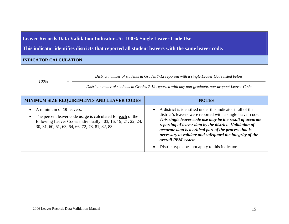**Leaver Records Data Validation Indicator #5: 100% Single Leaver Code Use** 

**This indicator identifies districts that reported all student leavers with the same leaver code.**

## **INDICATOR CALCULATION**

*District number of students in Grades 7-12 reported with a single Leaver Code listed below* 

*100%* =

*District number of students in Grades 7-12 reported with any non-graduate, non-dropout Leaver Code* 

| MINIMUM SIZE REQUIREMENTS AND LEAVER CODES                                                                                                                                                                 | <b>NOTES</b>                                                                                                                                                                                                                                                                                                                                                                                                                                        |
|------------------------------------------------------------------------------------------------------------------------------------------------------------------------------------------------------------|-----------------------------------------------------------------------------------------------------------------------------------------------------------------------------------------------------------------------------------------------------------------------------------------------------------------------------------------------------------------------------------------------------------------------------------------------------|
| A minimum of 10 leavers.<br>The percent leaver code usage is calculated for each of the<br>following Leaver Codes individually: 03, 16, 19, 21, 22, 24,<br>30, 31, 60, 61, 63, 64, 66, 72, 78, 81, 82, 83. | A district is identified under this indicator if all of the<br>district's leavers were reported with a single leaver code.<br>This single leaver code use may be the result of accurate<br>reporting of leaver data by the district. Validation of<br>accurate data is a critical part of the process that is<br>necessary to validate and safeguard the integrity of the<br>overall PBM system.<br>District type does not apply to this indicator. |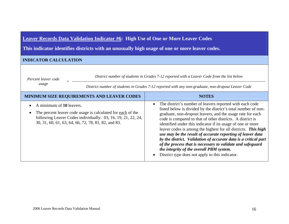**Leaver Records Data Validation Indicator #6: High Use of One or More Leaver Codes** 

**This indicator identifies districts with an unusually high usage of one or more leaver codes.**

## **INDICATOR CALCULATION**

=

*District number of students in Grades 7-12 reported with a Leaver Code from the list below* 

Percent leaver code

*usage* 

*District number of students in Grades 7-12 reported with any non-graduate, non-dropout Leaver Code* 

| MINIMUM SIZE REQUIREMENTS AND LEAVER CODES                                                                                                                                                                     | <b>NOTES</b>                                                                                                                                                                                                                                                                                                                                                                                                                                                                                                                                                                                                                                                                          |
|----------------------------------------------------------------------------------------------------------------------------------------------------------------------------------------------------------------|---------------------------------------------------------------------------------------------------------------------------------------------------------------------------------------------------------------------------------------------------------------------------------------------------------------------------------------------------------------------------------------------------------------------------------------------------------------------------------------------------------------------------------------------------------------------------------------------------------------------------------------------------------------------------------------|
| A minimum of 10 leavers.<br>The percent leaver code usage is calculated for each of the<br>following Leaver Codes individually: 03, 16, 19, 21, 22, 24,<br>30, 31, 60, 61, 63, 64, 66, 72, 78, 81, 82, and 83. | The district's number of leavers reported with each code<br>listed below is divided by the district's total number of non-<br>graduate, non-dropout leavers, and the usage rate for each<br>code is compared to that of other districts. A district is<br>identified under this indicator if its usage of one or more<br>leaver codes is among the highest for all districts. This high<br>use may be the result of accurate reporting of leaver data<br>by the district. Validation of accurate data is a critical part<br>of the process that is necessary to validate and safeguard<br>the integrity of the overall PBM system.<br>District type does not apply to this indicator. |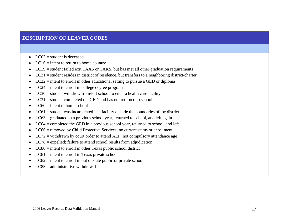# **DESCRIPTION OF LEAVER CODES**

- LC03 = student is deceased
- $\bullet$  $LC16$  = intent to return to home country
- $\bullet$ LC19 = student failed exit TAAS or TAKS, but has met all other graduation requirements
- •LC21 = student resides in district of residence, but transfers to a neighboring district/charter
- $\bullet$ LC22 = intent to enroll in other educational setting to pursue a GED or diploma
- •LC24 = intent to enroll in college degree program
- $\bullet$  $LC30$  = student withdrew from/left school to enter a health care facility
- $\bullet$ LC31 = student completed the GED and has not returned to school
- • $LC60 =$  intent to home school
- •LC61 = student was incarcerated in a facility outside the boundaries of the district
- $\bullet$ LC63 = graduated in a previous school year, returned to school, and left again
- •LC64 = completed the GED in a previous school year, returned to school, and left
- •LC66 = removed by Child Protective Services; no current status or enrollment
- • $LC72$  = withdrawn by court order to attend AEP; not compulsory attendance age
- •LC78 = expelled; failure to attend school results from adjudication
- $\bullet$ LC80 = intent to enroll in other Texas public school district
- • $LC81$  = intent to enroll in Texas private school
- $\bullet$  $LC82$  = intent to enroll in out of state public or private school
- $\bullet$  $LC83$  = administrative withdrawal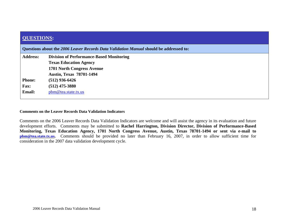| <b>QUESTIONS:</b>                                                                      |                                                 |  |
|----------------------------------------------------------------------------------------|-------------------------------------------------|--|
| Questions about the 2006 Leaver Records Data Validation Manual should be addressed to: |                                                 |  |
| <b>Address:</b>                                                                        | <b>Division of Performance-Based Monitoring</b> |  |
|                                                                                        | <b>Texas Education Agency</b>                   |  |
|                                                                                        | 1701 North Congress Avenue                      |  |
|                                                                                        | <b>Austin, Texas 78701-1494</b>                 |  |
| <b>Phone:</b>                                                                          | $(512)$ 936-6426                                |  |
| <b>Fax:</b>                                                                            | $(512)$ 475-3880                                |  |
| <b>Email:</b>                                                                          | pbm@tea. state. tx. us                          |  |

#### **Comments on the Leaver Records Data Validation Indicators**

Comments on the 2006 Leaver Records Data Validation Indicators are welcome and will assist the agency in its evaluation and future development efforts. Comments may be submitted to **Rachel Harrington, Division Director, Division of Performance-Based Monitoring, Texas Education Agency, 1701 North Congress Avenue, Austin, Texas 78701-1494 or sent via e-mail to [pbm@tea.state.tx.us](mailto:pbm@tea.state.tx.us).** Comments should be provided no later than February 16, 2007, in order to allow sufficient time for consideration in the 2007 data validation development cycle.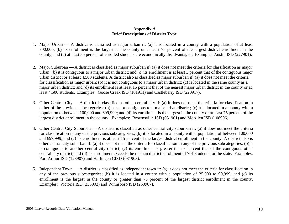## **Appendix A Brief Descriptions of District Type**

- 1. Major Urban A district is classified as major urban if: (a) it is located in a county with a population of at least 700,000; (b) its enrollment is the largest in the county or at least 75 percent of the largest district enrollment in the county; and (c) at least 35 percent of enrolled students are economically disadvantaged. Example: Austin ISD (227901).
- 2. Major Suburban A district is classified as major suburban if: (a) it does not meet the criteria for classification as major urban; (b) it is contiguous to a major urban district; and (c) its enrollment is at least 3 percent that of the contiguous major urban district or at least 4,500 students. A district also is classified as major suburban if: (a) it does not meet the criteria for classification as major urban; (b) it is not contiguous to a major urban district; (c) is located in the same county as a major urban district; and (d) its enrollment is at least 15 percent that of the nearest major urban district in the county or at least 4,500 students. Examples: Goose Creek ISD (101911) and Castleberry ISD (220917).
- 3. Other Central City A district is classified as other central city if: (a) it does not meet the criteria for classification in either of the previous subcategories; (b) it is not contiguous to a major urban district; (c) it is located in a county with a population of between 100,000 and 699,999; and (d) its enrollment is the largest in the county or at least 75 percent of the largest district enrollment in the county. Examples: Brownsville ISD (031901) and McAllen ISD (108906).
- 4. Other Central City Suburban A district is classified as other central city suburban if: (a) it does not meet the criteria for classification in any of the previous subcategories; (b) it is located in a county with a population of between 100,000 and 699,999; and (c) its enrollment is at least 15 percent of the largest district enrollment in the county. A district also is other central city suburban if: (a) it does not meet the criteria for classification in any of the previous subcategories; (b) it is contiguous to another central city district; (c) its enrollment is greater than 3 percent that of the contiguous other central city district; and (d) its enrollment exceeds the median district enrollment of 701 students for the state. Examples: Port Arthur ISD (123907) and Harlingen CISD (031903).
- 5. Independent Town A district is classified as independent town if: (a) it does not meet the criteria for classification in any of the previous subcategories; (b) it is located in a county with a population of 25,000 to 99,999; and (c) its enrollment is the largest in the county or greater than 75 percent of the largest district enrollment in the county. Examples: Victoria ISD (235902) and Winnsboro ISD (250907).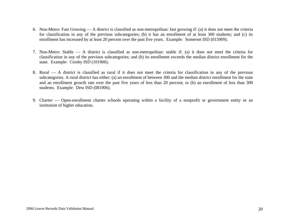- 6. Non-Metro: Fast Growing A district is classified as non-metropolitan: fast growing if: (a) it does not meet the criteria for classification in any of the previous subcategories; (b) it has an enrollment of at least 300 students; and (c) its enrollment has increased by at least 20 percent over the past five years. Example: Somerset ISD (015909).
- 7. Non-Metro: Stable A district is classified as non-metropolitan: stable if: (a) it does not meet the criteria for classification in any of the previous subcategories; and (b) its enrollment exceeds the median district enrollment for the state. Example: Crosby ISD (101906).
- 8. Rural A district is classified as rural if it does not meet the criteria for classification in any of the previous subcategories. A rural district has either: (a) an enrollment of between 300 and the median district enrollment for the state and an enrollment growth rate over the past five years of less than 20 percent; or (b) an enrollment of less than 300 students. Example: Dew ISD (081906).
- 9. Charter Open-enrollment charter schools operating within a facility of a nonprofit or government entity or an institution of higher education.